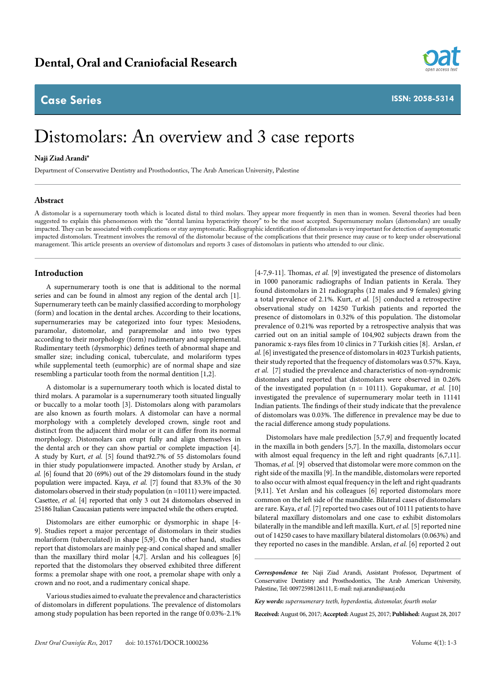# **Case Series**



**ISSN: 2058-5314**

# Distomolars: An overview and 3 case reports

## **Naji Ziad Arandi\***

Department of Conservative Dentistry and Prosthodontics, The Arab American University, Palestine

#### **Abstract**

A distomolar is a supernumerary tooth which is located distal to third molars. They appear more frequently in men than in women. Several theories had been suggested to explain this phenomenon with the "dental lamina hyperactivity theory" to be the most accepted. Supernumerary molars (distomolars) are usually impacted. They can be associated with complications or stay asymptomatic. Radiographic identification of distomolars is very important for detection of asymptomatic impacted distomolars. Treatment involves the removal of the distomolar because of the complications that their presence may cause or to keep under observational management. This article presents an overview of distomolars and reports 3 cases of distomolars in patients who attended to our clinic.

#### **Introduction**

A supernumerary tooth is one that is additional to the normal series and can be found in almost any region of the dental arch [1]. Supernumerary teeth can be mainly classified according to morphology (form) and location in the dental arches. According to their locations, supernumeraries may be categorized into four types: Mesiodens, paramolar, distomolar, and parapremolar and into two types according to their morphology (form) rudimentary and supplemental. Rudimentary teeth (dysmorphic) defines teeth of abnormal shape and smaller size; including conical, tuberculate, and molariform types while supplemental teeth (eumorphic) are of normal shape and size resembling a particular tooth from the normal dentition [1,2].

A distomolar is a supernumerary tooth which is located distal to third molars. A paramolar is a supernumerary tooth situated lingually or buccally to a molar tooth [3]. Distomolars along with paramolars are also known as fourth molars. A distomolar can have a normal morphology with a completely developed crown, single root and distinct from the adjacent third molar or it can differ from its normal morphology. Distomolars can erupt fully and align themselves in the dental arch or they can show partial or complete impaction [4]. A study by Kurt, *et al.* [5] found that92.7% of 55 distomolars found in thier study populationwere impacted. Another study by Arslan, *et al.* [6] found that 20 (69%) out of the 29 distomolars found in the study population were impacted. Kaya, *et al.* [7] found that 83.3% of the 30 distomolars observed in their study population (n =10111) were impacted. Casettee, *et al.* [4] reported that only 3 out 24 distomolars observed in 25186 Italian Caucasian patients were impacted while the others erupted.

Distomolars are either eumorphic or dysmorphic in shape [4- 9]. Studies report a major percentage of distomolars in their studies molariform (tuberculated) in shape [5,9]. On the other hand, studies report that distomolars are mainly peg-and conical shaped and smaller than the maxillary third molar [4,7]. Arslan and his colleagues [6] reported that the distomolars they observed exhibited three different forms: a premolar shape with one root, a premolar shape with only a crown and no root, and a rudimentary conical shape.

Various studies aimed to evaluate the prevalence and characteristics of distomolars in different populations. The prevalence of distomolars among study population has been reported in the range 0f 0.03%-2.1%

[4-7,9-11]. Thomas, *et al.* [9] investigated the presence of distomolars in 1000 panoramic radiographs of Indian patients in Kerala. They found distomolars in 21 radiographs (12 males and 9 females) giving a total prevalence of 2.1%. Kurt, *et al.* [5] conducted a retrospective observational study on 14250 Turkish patients and reported the presence of distomolars in 0.32% of this population. The distomolar prevalence of 0.21% was reported by a retrospective analysis that was carried out on an initial sample of 104,902 subjects drawn from the panoramic x-rays files from 10 clinics in 7 Turkish cities [8]. Arslan, *et al.* [6] investigated the presence of distomolars in 4023 Turkish patients, their study reported that the frequency of distomolars was 0.57%. Kaya, *et al.* [7] studied the prevalence and characteristics of non-syndromic distomolars and reported that distomolars were observed in 0.26% of the investigated population (n = 10111). Gopakumar, *et al.* [10] investigated the prevalence of supernumerary molar teeth in 11141 Indian patients. The findings of their study indicate that the prevalence of distomolars was 0.03%. The difference in prevalence may be due to the racial difference among study populations.

Distomolars have male predilection [5,7,9] and frequently located in the maxilla in both genders [5,7]. In the maxilla, distomolars occur with almost equal frequency in the left and right quadrants [6,7,11]. Thomas, *et al.* [9] observed that distomolar were more common on the right side of the maxilla [9]. In the mandible, distomolars were reported to also occur with almost equal frequency in the left and right quadrants [9,11]. Yet Arslan and his colleagues [6] reported distomolars more common on the left side of the mandible. Bilateral cases of distomolars are rare. Kaya, *et al.* [7] reported two cases out of 10111 patients to have bilateral maxillary distomolars and one case to exhibit distomolars bilaterally in the mandible and left maxilla. Kurt, *et al.* [5] reported nine out of 14250 cases to have maxillary bilateral distomolars (0.063%) and they reported no cases in the mandible. Arslan, *et al.* [6] reported 2 out

**Received:** August 06, 2017; **Accepted:** August 25, 2017; **Published:** August 28, 2017

*Correspondence to:* Naji Ziad Arandi, Assistant Professor, Department of Conservative Dentistry and Prosthodontics, The Arab American University, Palestine, Tel: 00972598126111, E-mail: naji.arandi@aauj.edu

*Key words: supernumerary teeth, hyperdontia, distomolar, fourth molar*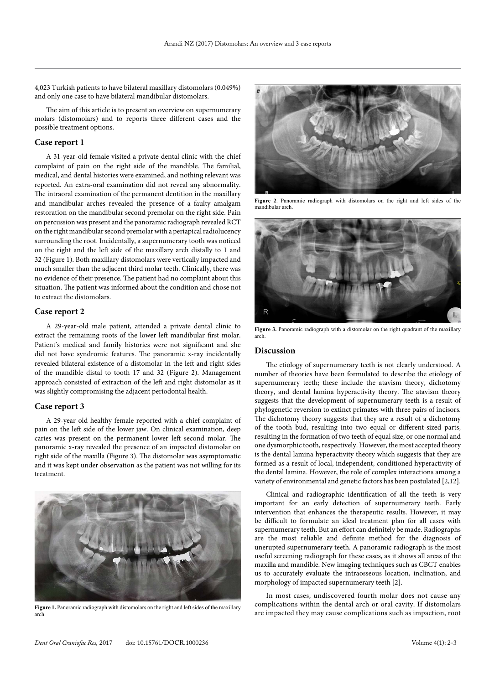4,023 Turkish patients to have bilateral maxillary distomolars (0.049%) and only one case to have bilateral mandibular distomolars.

The aim of this article is to present an overview on supernumerary molars (distomolars) and to reports three different cases and the possible treatment options.

### **Case report 1**

A 31-year-old female visited a private dental clinic with the chief complaint of pain on the right side of the mandible. The familial, medical, and dental histories were examined, and nothing relevant was reported. An extra-oral examination did not reveal any abnormality. The intraoral examination of the permanent dentition in the maxillary and mandibular arches revealed the presence of a faulty amalgam restoration on the mandibular second premolar on the right side. Pain on percussion was present and the panoramic radiograph revealed RCT on the right mandibular second premolar with a periapical radiolucency surrounding the root. Incidentally, a supernumerary tooth was noticed on the right and the left side of the maxillary arch distally to 1 and 32 (Figure 1). Both maxillary distomolars were vertically impacted and much smaller than the adjacent third molar teeth. Clinically, there was no evidence of their presence. The patient had no complaint about this situation. The patient was informed about the condition and chose not to extract the distomolars.

#### **Case report 2**

A 29-year-old male patient, attended a private dental clinic to extract the remaining roots of the lower left mandibular first molar. Patient's medical and family histories were not significant and she did not have syndromic features. The panoramic x-ray incidentally revealed bilateral existence of a distomolar in the left and right sides of the mandible distal to tooth 17 and 32 (Figure 2). Management approach consisted of extraction of the left and right distomolar as it was slightly compromising the adjacent periodontal health.

## **Case report 3**

A 29-year old healthy female reported with a chief complaint of pain on the left side of the lower jaw. On clinical examination, deep caries was present on the permanent lower left second molar. The panoramic x-ray revealed the presence of an impacted distomolar on right side of the maxilla (Figure 3). The distomolar was asymptomatic and it was kept under observation as the patient was not willing for its treatment.



arch.



**Figure 2**. Panoramic radiograph with distomolars on the right and left sides of the mandibular arch.



Figure 3. Panoramic radiograph with a distomolar on the right quadrant of the maxillary arch.

#### **Discussion**

The etiology of supernumerary teeth is not clearly understood. A number of theories have been formulated to describe the etiology of supernumerary teeth; these include the atavism theory, dichotomy theory, and dental lamina hyperactivity theory. The atavism theory suggests that the development of supernumerary teeth is a result of phylogenetic reversion to extinct primates with three pairs of incisors. The dichotomy theory suggests that they are a result of a dichotomy of the tooth bud, resulting into two equal or different-sized parts, resulting in the formation of two teeth of equal size, or one normal and one dysmorphic tooth, respectively. However, the most accepted theory is the dental lamina hyperactivity theory which suggests that they are formed as a result of local, independent, conditioned hyperactivity of the dental lamina. However, the role of complex interactions among a variety of environmental and genetic factors has been postulated [2,12].

Clinical and radiographic identification of all the teeth is very important for an early detection of supernumerary teeth. Early intervention that enhances the therapeutic results. However, it may be difficult to formulate an ideal treatment plan for all cases with supernumerary teeth. But an effort can definitely be made. Radiographs are the most reliable and definite method for the diagnosis of unerupted supernumerary teeth. A panoramic radiograph is the most useful screening radiograph for these cases, as it shows all areas of the maxilla and mandible. New imaging techniques such as CBCT enables us to accurately evaluate the intraosseous location, inclination, and morphology of impacted supernumerary teeth [2].

In most cases, undiscovered fourth molar does not cause any complications within the dental arch or oral cavity. If distomolars Figure 1. Panoramic radiograph with distomolars on the right and left sides of the maxillary<br>are impacted they may cause complications such as impaction, root<br>are impacted they may cause complications such as impaction, ro